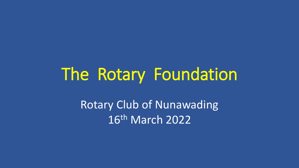# The Rotary Foundation

Rotary Club of Nunawading 16th March 2022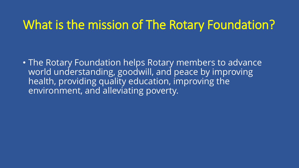### What is the mission of The Rotary Foundation?

• The Rotary Foundation helps Rotary members to advance world understanding, goodwill, and peace by improving health, providing quality education, improving the environment, and alleviating poverty.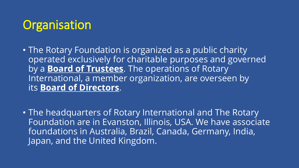# **Organisation**

- The Rotary Foundation is organized as a public charity operated exclusively for charitable purposes and governed by a **[Board of Trustees](https://www.rotary.org/en/trustees)**. The operations of Rotary International, a member organization, are overseen by its **[Board of Directors](https://www.rotary.org/en/about-rotary/our-leaders/directors)**.
- The headquarters of Rotary International and The Rotary Foundation are in Evanston, Illinois, USA. We have associate foundations in Australia, Brazil, Canada, Germany, India, Japan, and the United Kingdom.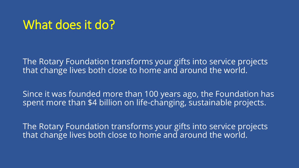### What does it do?

The Rotary Foundation transforms your gifts into service projects that change lives both close to home and around the world.

Since it was founded more than 100 years ago, the Foundation has spent more than \$4 billion on life-changing, sustainable projects.

The Rotary Foundation transforms your gifts into service projects that change lives both close to home and around the world.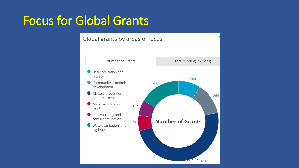## Focus for Global Grants

### Global grants by areas of focus

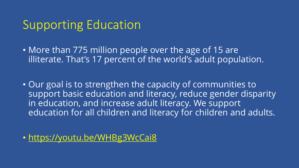### Supporting Education

- More than 775 million people over the age of 15 are illiterate. That's 17 percent of the world's adult population.
- Our goal is to strengthen the capacity of communities to support basic education and literacy, reduce gender disparity in education, and increase adult literacy. We support education for all children and literacy for children and adults.

• <https://youtu.be/WHBg3WcCai8>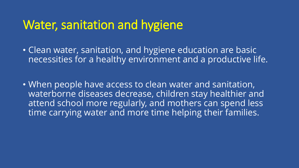### Water, sanitation and hygiene

- Clean water, sanitation, and hygiene education are basic necessities for a healthy environment and a productive life.
- When people have access to clean water and sanitation, waterborne diseases decrease, children stay healthier and attend school more regularly, and mothers can spend less time carrying water and more time helping their families.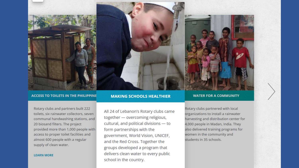

#### **ACCESS TO TOILETS IN THE PHILIPPINE**

Rotary clubs and partners built 222 toilets, six rainwater collectors, seven communal handwashing stations, and 20 biosand filters. The project provided more than 1,000 people with access to proper toilet facilities and almost 600 people with a regular supply of clean water.

#### **LEARN MORE**

#### **MAKING SCHOOLS HEALTHIER**

All 24 of Lebanon's Rotary clubs came together - overcoming religious, cultural, and political divisions - to form partnerships with the government, World Vision, UNICEF, and the Red Cross. Together the groups developed a program that delivers clean water to every public school in the country.

#### **WATER FOR A COMMUNITY**

Rotary clubs partnered with local organizations to install a rainwater harvesting and distribution center for 4,000 people in Madan, India. They also delivered training programs for women in the community and students in 35 schools.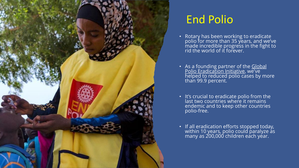

### End Polio

- Rotary has been working to eradicate polio for more than 35 years, and we've made incredible progress in the fight to rid the world of it forever.
- As a founding partner of the Global [Polio Eradication Initiative, we've](http://polioeradication.org/who-we-are/)  helped to reduced polio cases by more than 99.9 percent.
- It's crucial to eradicate polio from the last two countries where it remains endemic and to keep other countries polio-free.
- If all eradication efforts stopped today, within 10 years, polio could paralyze as many as 200,000 children each year.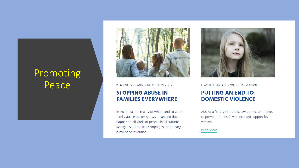### Promoting Peace



PEACEBUILDING AND CONFLICT PREVENTION

### **STOPPING ABUSE IN FAMILIES EVERYWHERE**

In Australia, the reality of where and to whom family abuse occurs shows it can and does happen to all kinds of people in all suburbs. Rotary SAFE Families campaigns for primary prevention of abuse.



PEACEBUILDING AND CONFLICT PREVENTION

### **PUTTING AN END TO DOMESTIC VIOLENCE**

Australia Rotary clubs raise awareness and funds to prevent domestic violence and support its victims

Read More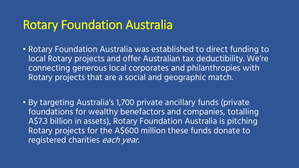### Rotary Foundation Australia

- Rotary Foundation Australia was established to direct funding to local Rotary projects and offer Australian tax deductibility. We're connecting generous local corporates and philanthropies with Rotary projects that are a social and geographic match.
- By targeting Australia's 1,700 private ancillary funds (private foundations for wealthy benefactors and companies, totalling A\$7.3 billion in assets), Rotary Foundation Australia is pitching Rotary projects for the A\$600 million these funds donate to registered charities each year.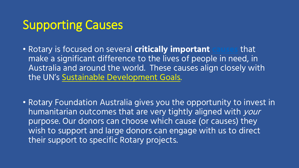# Supporting Causes

- Rotary is focused on several **critically important [causes](https://www.rotary.org/our-causes)** that make a significant difference to the lives of people in need, in Australia and around the world. These causes align closely with the UN's [Sustainable Development Goals.](https://sdgs.un.org/goals)
- Rotary Foundation Australia gives you the opportunity to invest in humanitarian outcomes that are very tightly aligned with your purpose. Our donors can choose which cause (or causes) they wish to support and large donors can engage with us to direct their support to specific Rotary projects.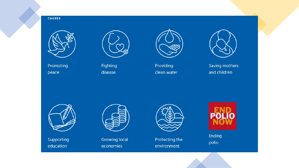#### **CAUSES**



Promoting peace



Fighting disease



Providing clean water



Saving mothers and children



Supporting education



Growing local economies



Protecting the environment



Ending polio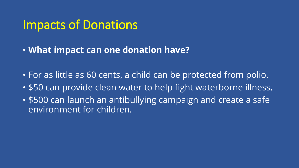### Impacts of Donations

- **What impact can one donation have?**
- For as little as 60 cents, a child can be protected from polio.
- \$50 can provide clean water to help fight waterborne illness.
- \$500 can launch an antibullying campaign and create a safe environment for children.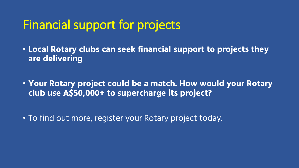### Financial support for projects

• **Local Rotary clubs can seek financial support to projects they are delivering**

• **Your Rotary project could be a match. How would your Rotary club use A\$50,000+ to supercharge its project?**

• To find out more, register your Rotary project today.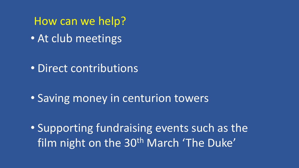How can we help? • At club meetings

• Direct contributions

• Saving money in centurion towers

• Supporting fundraising events such as the film night on the 30<sup>th</sup> March 'The Duke'